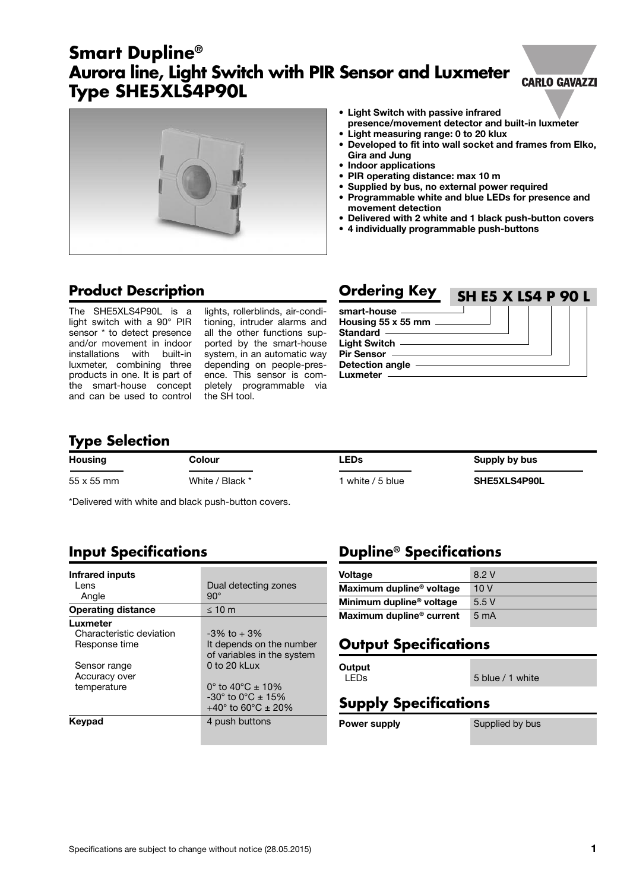# **movement detection**

**Aurora line, Light Switch with PIR Sensor and Luxmeter**

### **Gira and Jung • Indoor applications**

**• PIR operating distance: max 10 m**

**• Light measuring range: 0 to 20 klux**

**• Light Switch with passive infrared**

**• Supplied by bus, no external power required • Programmable white and blue LEDs for presence and**

**presence/movement detector and built-in luxmeter**

**• Developed to fit into wall socket and frames from Elko,**

- **• Delivered with 2 white and 1 black push-button covers**
- **• 4 individually programmable push-buttons**

### **Product Description**

**Smart Dupline®**

**Type SHE5XLS4P90L**

The SHE5XLS4P90L is a light switch with a 90° PIR sensor \* to detect presence and/or movement in indoor installations with built-in luxmeter, combining three products in one. It is part of the smart-house concept and can be used to control

lights, rollerblinds, air-conditioning, intruder alarms and all the other functions supported by the smart-house system, in an automatic way depending on people-presence. This sensor is completely programmable via the SH tool.

It depends on the number of variables in the system<br>0 to 20 kLux

-30 $^{\circ}$  to 0 $^{\circ}$ C ± 15% +40 $\degree$  to 60 $\degree$ C ± 20%

| <b>Ordering Key</b>         | <b>SH E5 X LS4 P 90 L</b> |  |  |  |
|-----------------------------|---------------------------|--|--|--|
| smart-house -               |                           |  |  |  |
| Housing 55 x 55 mm ________ |                           |  |  |  |
| Standard ———————            |                           |  |  |  |
| Light Switch —              |                           |  |  |  |
| Pir Sensor -                |                           |  |  |  |
| <b>Detection angle</b>      |                           |  |  |  |
| Luxmeter                    |                           |  |  |  |

### **Type Selection**

**Infrared inputs** 

Sensor range Accuracy over

Angle

**Luxmeter**

| <b>Housing</b>    | Colour          | ∟EDs             | Supply by bus |  |
|-------------------|-----------------|------------------|---------------|--|
| $55 \times 55$ mm | White / Black * | white / 5 blue l | SHE5XLS4P90L  |  |

\*Delivered with white and black push-button covers.

Lens Dual detecting zones<br>
Angle 90°

**Operating distance** ≤ 10 m

**Input Specifications**

Characteristic deviation  $-3\%$  to + 3%<br>Response time the depends of

temperature  $0^\circ$  to  $40^\circ \text{C} \pm 10\%$ 

**Keypad** 4 push buttons

**Dupline® Specifications**

| <b>Voltage</b>                       | 8.2 V            |
|--------------------------------------|------------------|
| Maximum dupline <sup>®</sup> voltage | 10V              |
| Minimum dupline <sup>®</sup> voltage | 5.5V             |
| Maximum dupline <sup>®</sup> current | 5 <sub>m</sub> A |

### **Output Specifications**

**Output**

LEDs 5 blue / 1 white

### **Supply Specifications**

**Power supply** Supplied by bus

### **CARLO GAVAZZI**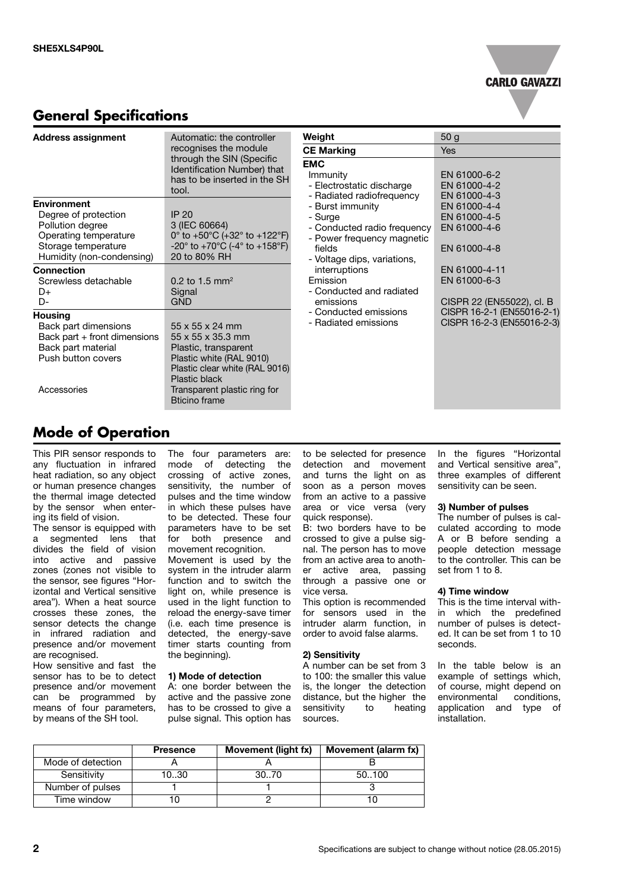**CARLO GAVAZZI** 

### **General Specifications**

| <b>Address assignment</b>                                                                                                                   | Automatic: the controller<br>recognises the module                                                                                                                                                                          | Weight                                                                                                                                                                                                                                                                                | 50 <sub>g</sub>                                              |
|---------------------------------------------------------------------------------------------------------------------------------------------|-----------------------------------------------------------------------------------------------------------------------------------------------------------------------------------------------------------------------------|---------------------------------------------------------------------------------------------------------------------------------------------------------------------------------------------------------------------------------------------------------------------------------------|--------------------------------------------------------------|
|                                                                                                                                             |                                                                                                                                                                                                                             | <b>CE Marking</b>                                                                                                                                                                                                                                                                     | <b>Yes</b>                                                   |
| through the SIN (Specific<br>Identification Number) that<br>has to be inserted in the SH<br>tool.                                           |                                                                                                                                                                                                                             | <b>EMC</b><br>Immunity<br>- Electrostatic discharge                                                                                                                                                                                                                                   | EN 61000-6-2<br>EN 61000-4-2<br>EN 61000-4-3                 |
| <b>Environment</b><br>Degree of protection<br>Pollution degree<br>Operating temperature<br>Storage temperature<br>Humidity (non-condensing) | <b>IP 20</b><br>3 (IEC 60664)<br>0° to +50°C (+32° to +122°F)<br>$-20^{\circ}$ to $+70^{\circ}$ C (-4 $^{\circ}$ to $+158^{\circ}$ F)<br>20 to 80% RH                                                                       | - Radiated radiofrequency<br>- Burst immunity<br>- Surge<br>- Conducted radio frequency<br>- Power frequency magnetic<br>fields<br>- Voltage dips, variations,<br>interruptions<br>Emission<br>- Conducted and radiated<br>emissions<br>- Conducted emissions<br>- Radiated emissions | EN 61000-4-4<br>EN 61000-4-5<br>EN 61000-4-6<br>EN 61000-4-8 |
| <b>Connection</b><br>Screwless detachable<br>D+<br>D-                                                                                       | 0.2 to 1.5 mm <sup>2</sup><br>Signal<br><b>GND</b>                                                                                                                                                                          |                                                                                                                                                                                                                                                                                       | EN 61000-4-11<br>EN 61000-6-3<br>CISPR 22 (EN55022), cl. B   |
| <b>Housing</b><br>Back part dimensions<br>Back part + front dimensions<br>Back part material<br>Push button covers<br>Accessories           | $55 \times 55 \times 24$ mm<br>$55 \times 55 \times 35.3$ mm<br>Plastic, transparent<br>Plastic white (RAL 9010)<br>Plastic clear white (RAL 9016)<br>Plastic black<br>Transparent plastic ring for<br><b>Bticino frame</b> |                                                                                                                                                                                                                                                                                       |                                                              |

### **Mode of Operation**

This PIR sensor responds to any fluctuation in infrared heat radiation, so any object or human presence changes the thermal image detected by the sensor when entering its field of vision.

The sensor is equipped with a segmented lens that divides the field of vision into active and passive zones (zones not visible to the sensor, see figures "Horizontal and Vertical sensitive area"). When a heat source crosses these zones, the sensor detects the change in infrared radiation and presence and/or movement are recognised.

How sensitive and fast the sensor has to be to detect presence and/or movement can be programmed by means of four parameters, by means of the SH tool.

The four parameters are: mode of detecting the crossing of active zones, sensitivity, the number of pulses and the time window in which these pulses have to be detected. These four parameters have to be set for both presence and movement recognition. Movement is used by the system in the intruder alarm function and to switch the light on, while presence is used in the light function to reload the energy-save timer (i.e. each time presence is detected, the energy-save timer starts counting from the beginning).

### **1) Mode of detection**

A: one border between the active and the passive zone has to be crossed to give a pulse signal. This option has to be selected for presence detection and movement and turns the light on as soon as a person moves from an active to a passive area or vice versa (very quick response).

B: two borders have to be crossed to give a pulse signal. The person has to move from an active area to another active area, passing through a passive one or vice versa.

This option is recommended for sensors used in the intruder alarm function, in order to avoid false alarms.

#### **2) Sensitivity**

A number can be set from 3 to 100: the smaller this value is, the longer the detection distance, but the higher the sensitivity to heating sources.

In the figures "Horizontal and Vertical sensitive area", three examples of different sensitivity can be seen.

#### **3) Number of pulses**

The number of pulses is calculated according to mode A or B before sending a people detection message to the controller. This can be set from 1 to 8.

#### **4) Time window**

This is the time interval within which the predefined number of pulses is detected. It can be set from 1 to 10 seconds.

In the table below is an example of settings which, of course, might depend on environmental conditions, application and type of installation.

|                   | <b>Presence</b> | Movement (light fx) | Movement (alarm fx) |
|-------------------|-----------------|---------------------|---------------------|
| Mode of detection |                 |                     |                     |
| Sensitivity       | 1030            | 30. 70              | 50.100              |
| Number of pulses  |                 |                     |                     |
| Time window       |                 |                     |                     |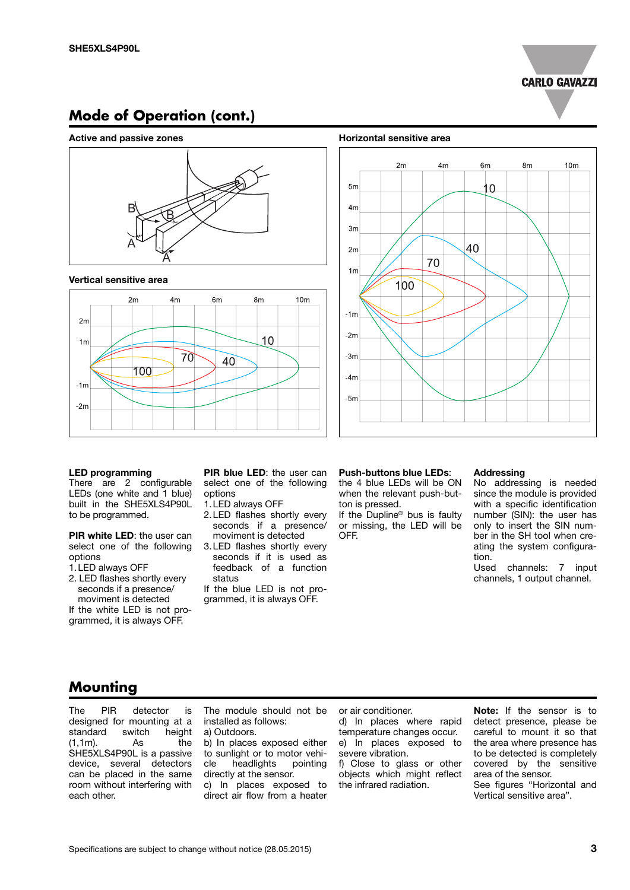

### **Mode of Operation (cont.)**

### **Active and passive zones Horizontal sensitive area**



#### **Vertical sensitive area**





#### **LED programming**

There are 2 configurable LEDs (one white and 1 blue) built in the SHE5XLS4P90L to be programmed.

**PIR white LED**: the user can select one of the following options

1.LED always OFF

2. LED flashes shortly every seconds if a presence/ moviment is detected

If the white LED is not programmed, it is always OFF.

**PIR blue LED**: the user can select one of the following options

- 1.LED always OFF
- 2.LED flashes shortly every seconds if a presence/ moviment is detected
- 3.LED flashes shortly every seconds if it is used as feedback of a function status

If the blue LED is not programmed, it is always OFF.

#### **Push-buttons blue LEDs**:

the 4 blue LEDs will be ON when the relevant push-button is pressed.

If the Dupline® bus is faulty or missing, the LED will be OFF.

#### **Addressing**

No addressing is needed since the module is provided with a specific identification number (SIN): the user has only to insert the SIN number in the SH tool when creating the system configuration.

Used channels: 7 input channels, 1 output channel.

### **Mounting**

The PIR detector is designed for mounting at a<br>standard switch height standard switch 1.1m). (1,1m). As the SHE5XLS4P90L is a passive device, several detectors can be placed in the same room without interfering with each other.

The module should not be installed as follows: a) Outdoors.

b) In places exposed either to sunlight or to motor vehicle headlights pointing directly at the sensor. c) In places exposed to direct air flow from a heater

or air conditioner.

d) In places where rapid temperature changes occur. e) In places exposed to severe vibration.

f) Close to glass or other objects which might reflect the infrared radiation.

**Note:** If the sensor is to detect presence, please be careful to mount it so that the area where presence has to be detected is completely covered by the sensitive area of the sensor. See figures "Horizontal and Vertical sensitive area".